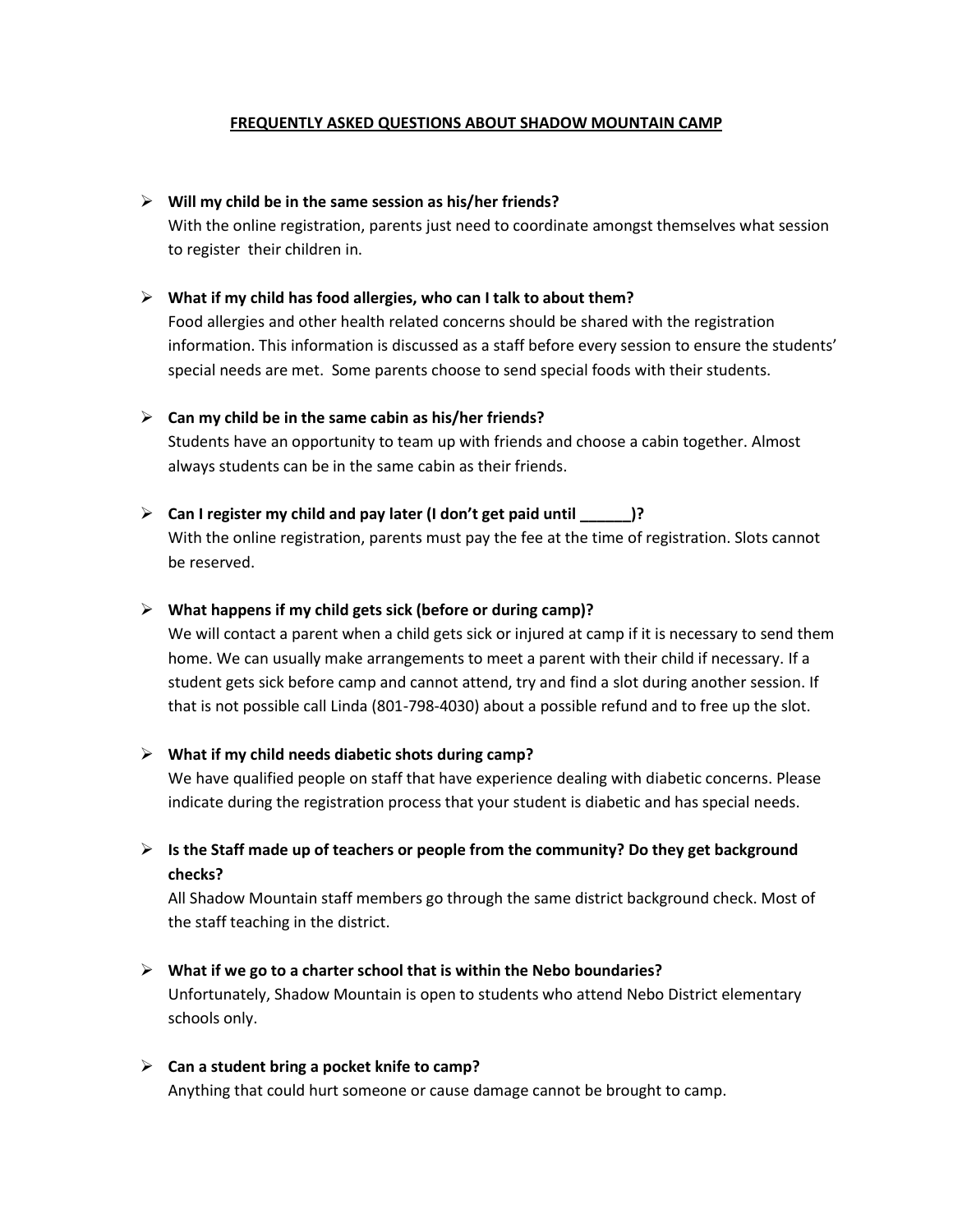## **FREQUENTLY ASKED QUESTIONS ABOUT SHADOW MOUNTAIN CAMP**

## **Will my child be in the same session as his/her friends?**

With the online registration, parents just need to coordinate amongst themselves what session to register their children in.

## **What if my child has food allergies, who can I talk to about them?**

Food allergies and other health related concerns should be shared with the registration information. This information is discussed as a staff before every session to ensure the students' special needs are met. Some parents choose to send special foods with their students.

## **Can my child be in the same cabin as his/her friends?**

Students have an opportunity to team up with friends and choose a cabin together. Almost always students can be in the same cabin as their friends.

## **Can I register my child and pay later (I don't get paid until \_\_\_\_\_\_)?**

With the online registration, parents must pay the fee at the time of registration. Slots cannot be reserved.

## **What happens if my child gets sick (before or during camp)?**

We will contact a parent when a child gets sick or injured at camp if it is necessary to send them home. We can usually make arrangements to meet a parent with their child if necessary. If a student gets sick before camp and cannot attend, try and find a slot during another session. If that is not possible call Linda (801-798-4030) about a possible refund and to free up the slot.

## **What if my child needs diabetic shots during camp?**

We have qualified people on staff that have experience dealing with diabetic concerns. Please indicate during the registration process that your student is diabetic and has special needs.

# **Is the Staff made up of teachers or people from the community? Do they get background checks?**

All Shadow Mountain staff members go through the same district background check. Most of the staff teaching in the district.

# **What if we go to a charter school that is within the Nebo boundaries?**

Unfortunately, Shadow Mountain is open to students who attend Nebo District elementary schools only.

#### **Can a student bring a pocket knife to camp?**

Anything that could hurt someone or cause damage cannot be brought to camp.